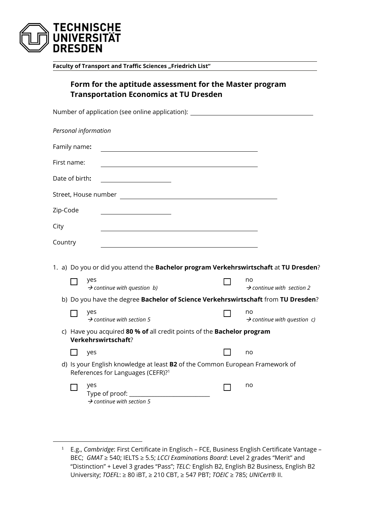

1

**Faculty of Transport and Traffic Sciences "Friedrich List"** 

|          |                | Form for the aptitude assessment for the Master program<br><b>Transportation Economics at TU Dresden</b>                      |                                               |
|----------|----------------|-------------------------------------------------------------------------------------------------------------------------------|-----------------------------------------------|
|          |                | Number of application (see online application): ________________________________                                              |                                               |
|          |                | Personal information                                                                                                          |                                               |
|          | Family name:   |                                                                                                                               |                                               |
|          | First name:    |                                                                                                                               |                                               |
|          | Date of birth: |                                                                                                                               |                                               |
|          |                | Street, House number                                                                                                          |                                               |
| Zip-Code |                |                                                                                                                               |                                               |
| City     |                |                                                                                                                               |                                               |
| Country  |                |                                                                                                                               |                                               |
|          |                |                                                                                                                               |                                               |
|          |                | 1. a) Do you or did you attend the Bachelor program Verkehrswirtschaft at TU Dresden?<br>yes                                  | no                                            |
|          |                | $\rightarrow$ continue with question b)                                                                                       | $\rightarrow$ continue with section 2         |
|          |                | b) Do you have the degree Bachelor of Science Verkehrswirtschaft from TU Dresden?                                             |                                               |
|          |                | yes<br>$\rightarrow$ continue with section 5                                                                                  | no<br>$\rightarrow$ continue with question c) |
|          |                | c) Have you acquired 80 % of all credit points of the Bachelor program<br>Verkehrswirtschaft?                                 |                                               |
|          |                | yes                                                                                                                           | no                                            |
|          |                | d) Is your English knowledge at least B2 of the Common European Framework of<br>References for Languages (CEFR)? <sup>1</sup> |                                               |
|          |                | yes<br>Type of proof:<br>$\rightarrow$ continue with section 5                                                                | no                                            |

<sup>1</sup> E.g., *Cambridge*: First Certificate in Englisch – FCE, Business English Certificate Vantage – BEC; *GMAT* ≥ 540; IELTS ≥ 5.5; *LCCI Examinations Board*: Level 2 grades "Merit" and "Distinction" + Level 3 grades "Pass"; *TELC:* English B2, English B2 Business, English B2 University; *TOEFL*: ≥ 80 iBT, ≥ 210 CBT, ≥ 547 PBT; *TOEIC* ≥ 785; *UNICert®* II.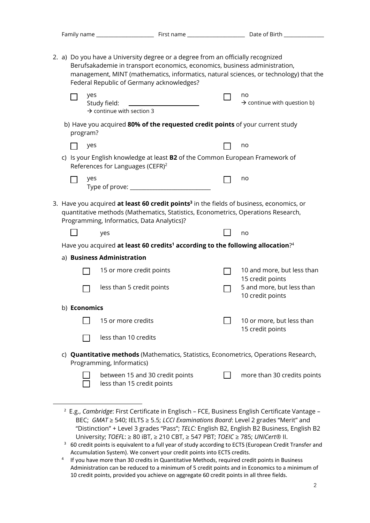|                                                                                           | 2. a) Do you have a University degree or a degree from an officially recognized                                                                                                                                                         |                     |     |                                                               |                                                                                                                                                                     |  |                                                                                             |  |  |  |  |
|-------------------------------------------------------------------------------------------|-----------------------------------------------------------------------------------------------------------------------------------------------------------------------------------------------------------------------------------------|---------------------|-----|---------------------------------------------------------------|---------------------------------------------------------------------------------------------------------------------------------------------------------------------|--|---------------------------------------------------------------------------------------------|--|--|--|--|
| Federal Republic of Germany acknowledges?                                                 |                                                                                                                                                                                                                                         |                     |     |                                                               | Berufsakademie in transport economics, economics, business administration,<br>management, MINT (mathematics, informatics, natural sciences, or technology) that the |  |                                                                                             |  |  |  |  |
|                                                                                           |                                                                                                                                                                                                                                         |                     | yes | Study field:<br>$\rightarrow$ continue with section 3         |                                                                                                                                                                     |  | no<br>$\rightarrow$ continue with question b)                                               |  |  |  |  |
| b) Have you acquired 80% of the requested credit points of your current study<br>program? |                                                                                                                                                                                                                                         |                     |     |                                                               |                                                                                                                                                                     |  |                                                                                             |  |  |  |  |
|                                                                                           |                                                                                                                                                                                                                                         |                     | yes |                                                               |                                                                                                                                                                     |  | no                                                                                          |  |  |  |  |
|                                                                                           |                                                                                                                                                                                                                                         |                     |     | References for Languages (CEFR) <sup>2</sup>                  | c) Is your English knowledge at least <b>B2</b> of the Common European Framework of                                                                                 |  |                                                                                             |  |  |  |  |
|                                                                                           |                                                                                                                                                                                                                                         |                     | yes |                                                               |                                                                                                                                                                     |  | no                                                                                          |  |  |  |  |
|                                                                                           | 3. Have you acquired at least 60 credit points <sup>3</sup> in the fields of business, economics, or<br>quantitative methods (Mathematics, Statistics, Econometrics, Operations Research,<br>Programming, Informatics, Data Analytics)? |                     |     |                                                               |                                                                                                                                                                     |  |                                                                                             |  |  |  |  |
|                                                                                           |                                                                                                                                                                                                                                         |                     |     | yes                                                           |                                                                                                                                                                     |  | no                                                                                          |  |  |  |  |
|                                                                                           |                                                                                                                                                                                                                                         |                     |     |                                                               | Have you acquired at least 60 credits <sup>1</sup> according to the following allocation? <sup>4</sup>                                                              |  |                                                                                             |  |  |  |  |
|                                                                                           |                                                                                                                                                                                                                                         |                     |     | a) Business Administration                                    |                                                                                                                                                                     |  |                                                                                             |  |  |  |  |
|                                                                                           |                                                                                                                                                                                                                                         |                     |     | 15 or more credit points                                      |                                                                                                                                                                     |  | 10 and more, but less than<br>15 credit points                                              |  |  |  |  |
|                                                                                           |                                                                                                                                                                                                                                         |                     |     | less than 5 credit points                                     |                                                                                                                                                                     |  | 5 and more, but less than<br>10 credit points                                               |  |  |  |  |
|                                                                                           |                                                                                                                                                                                                                                         | b) <b>Economics</b> |     |                                                               |                                                                                                                                                                     |  |                                                                                             |  |  |  |  |
|                                                                                           |                                                                                                                                                                                                                                         |                     |     | 15 or more credits                                            |                                                                                                                                                                     |  | 10 or more, but less than<br>15 credit points                                               |  |  |  |  |
|                                                                                           |                                                                                                                                                                                                                                         |                     |     | less than 10 credits                                          |                                                                                                                                                                     |  |                                                                                             |  |  |  |  |
|                                                                                           |                                                                                                                                                                                                                                         |                     |     | Programming, Informatics)                                     |                                                                                                                                                                     |  | c) <b>Quantitative methods</b> (Mathematics, Statistics, Econometrics, Operations Research, |  |  |  |  |
|                                                                                           |                                                                                                                                                                                                                                         |                     |     | between 15 and 30 credit points<br>less than 15 credit points |                                                                                                                                                                     |  | more than 30 credits points                                                                 |  |  |  |  |
|                                                                                           |                                                                                                                                                                                                                                         |                     |     |                                                               |                                                                                                                                                                     |  |                                                                                             |  |  |  |  |

<sup>2</sup> E.g., *Cambridge*: First Certificate in Englisch – FCE, Business English Certificate Vantage – BEC; *GMAT* ≥ 540; IELTS ≥ 5.5; *LCCI Examinations Board*: Level 2 grades "Merit" and "Distinction" + Level 3 grades "Pass"; *TELC:* English B2, English B2 Business, English B2 University; *TOEFL*: ≥ 80 iBT, ≥ 210 CBT, ≥ 547 PBT; *TOEIC* ≥ 785; *UNICert®* II.

1

- $3$  60 credit points is equivalent to a full year of study according to ECTS (European Credit Transfer and Accumulation System). We convert your credit points into ECTS credits.
- <sup>4</sup> If you have more than 30 credits in Quantitative Methods, required credit points in Business Administration can be reduced to a minimum of 5 credit points and in Economics to a minimum of 10 credit points, provided you achieve on aggregate 60 credit points in all three fields.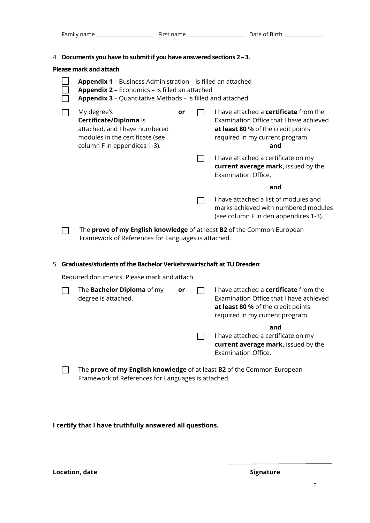4. **Documents you have to submit if you have answered sections 2 – 3.** 

**Please mark and attach**

|  | r i <del>c</del> asc IIIai Nailu attauli                                                                                                                                                   |    |  |                                                                                                                                                                         |  |  |  |  |
|--|--------------------------------------------------------------------------------------------------------------------------------------------------------------------------------------------|----|--|-------------------------------------------------------------------------------------------------------------------------------------------------------------------------|--|--|--|--|
|  | <b>Appendix 1</b> – Business Administration – is filled an attached<br>Appendix 2 - Economics - is filled an attached<br><b>Appendix 3</b> – Quantitative Methods – is filled and attached |    |  |                                                                                                                                                                         |  |  |  |  |
|  | My degree's<br>Certificate/Diploma is<br>attached, and I have numbered<br>modules in the certificate (see<br>column F in appendices 1-3).                                                  | or |  | I have attached a <b>certificate</b> from the<br>Examination Office that I have achieved<br>at least 80 % of the credit points<br>required in my current program<br>and |  |  |  |  |
|  |                                                                                                                                                                                            |    |  | I have attached a certificate on my<br>current average mark, issued by the<br><b>Examination Office.</b>                                                                |  |  |  |  |
|  |                                                                                                                                                                                            |    |  | and                                                                                                                                                                     |  |  |  |  |
|  |                                                                                                                                                                                            |    |  | I have attached a list of modules and<br>marks achieved with numbered modules<br>(see column F in den appendices 1-3).                                                  |  |  |  |  |
|  | The prove of my English knowledge of at least B2 of the Common European<br>Framework of References for Languages is attached.                                                              |    |  |                                                                                                                                                                         |  |  |  |  |
|  | 5. Graduates/students of the Bachelor Verkehrswirtschaft at TU Dresden:                                                                                                                    |    |  |                                                                                                                                                                         |  |  |  |  |
|  | Required documents. Please mark and attach                                                                                                                                                 |    |  |                                                                                                                                                                         |  |  |  |  |
|  | The <b>Bachelor Diploma</b> of my<br>degree is attached.                                                                                                                                   | or |  | I have attached a <b>certificate</b> from the<br>Examination Office that I have achieved<br>at least 80 % of the credit points<br>required in my current program.       |  |  |  |  |
|  |                                                                                                                                                                                            |    |  | and<br>I have attached a certificate on my<br>current average mark, issued by the<br><b>Examination Office.</b>                                                         |  |  |  |  |
|  | The prove of my English knowledge of at least B2 of the Common European<br>Framework of References for Languages is attached.                                                              |    |  |                                                                                                                                                                         |  |  |  |  |

**I certify that I have truthfully answered all questions.** 

Location, date **Signature** Signature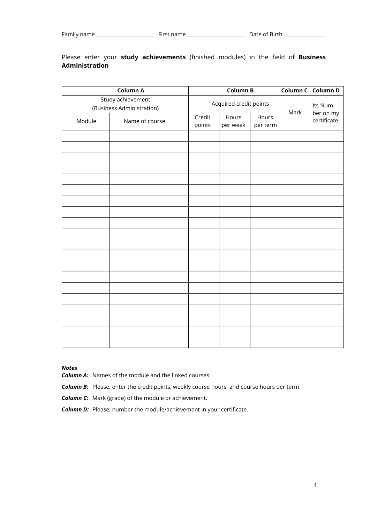## Please enter your **study achievements** (finished modules) in the field of **Business Administration**

|        |                                                | <b>Column B</b>  | Column C          | Column D               |      |                          |
|--------|------------------------------------------------|------------------|-------------------|------------------------|------|--------------------------|
|        | Study achievement<br>(Business Administration) |                  |                   | Acquired credit points |      |                          |
| Module | Name of course                                 | Credit<br>points | Hours<br>per week | Hours<br>per term      | Mark | ber on my<br>certificate |
|        |                                                |                  |                   |                        |      |                          |
|        |                                                |                  |                   |                        |      |                          |
|        |                                                |                  |                   |                        |      |                          |
|        |                                                |                  |                   |                        |      |                          |
|        |                                                |                  |                   |                        |      |                          |
|        |                                                |                  |                   |                        |      |                          |
|        |                                                |                  |                   |                        |      |                          |
|        |                                                |                  |                   |                        |      |                          |
|        |                                                |                  |                   |                        |      |                          |
|        |                                                |                  |                   |                        |      |                          |
|        |                                                |                  |                   |                        |      |                          |
|        |                                                |                  |                   |                        |      |                          |
|        |                                                |                  |                   |                        |      |                          |
|        |                                                |                  |                   |                        |      |                          |
|        |                                                |                  |                   |                        |      |                          |
|        |                                                |                  |                   |                        |      |                          |
|        |                                                |                  |                   |                        |      |                          |
|        |                                                |                  |                   |                        |      |                          |
|        |                                                |                  |                   |                        |      |                          |
|        |                                                |                  |                   |                        |      |                          |

*Notes* 

*Column A:* Names of the module and the linked courses.

**Column B:** Please, enter the credit points, weekly course hours, and course hours per term.

*Column C:* Mark (grade) of the module or achievement.

*Column D:* Please, number the module/achievement in your certificate.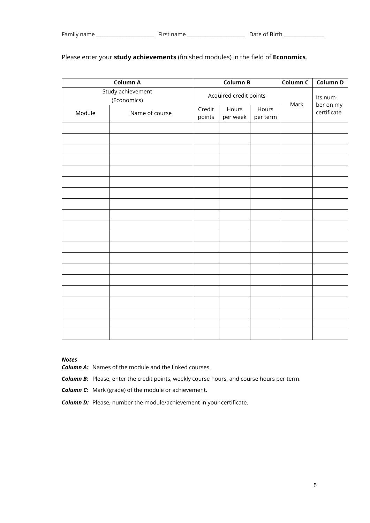|                   |                        | <b>Column B</b>  | Column C          | Column D          |          |                          |
|-------------------|------------------------|------------------|-------------------|-------------------|----------|--------------------------|
| Study achievement | Acquired credit points |                  |                   | Mark              | Its num- |                          |
| Module            | Name of course         | Credit<br>points | Hours<br>per week | Hours<br>per term |          | ber on my<br>certificate |
|                   |                        |                  |                   |                   |          |                          |
|                   |                        |                  |                   |                   |          |                          |
|                   |                        |                  |                   |                   |          |                          |
|                   |                        |                  |                   |                   |          |                          |
|                   |                        |                  |                   |                   |          |                          |
|                   |                        |                  |                   |                   |          |                          |
|                   |                        |                  |                   |                   |          |                          |
|                   |                        |                  |                   |                   |          |                          |
|                   |                        |                  |                   |                   |          |                          |
|                   |                        |                  |                   |                   |          |                          |
|                   |                        |                  |                   |                   |          |                          |
|                   |                        |                  |                   |                   |          |                          |
|                   |                        |                  |                   |                   |          |                          |
|                   |                        |                  |                   |                   |          |                          |
|                   |                        |                  |                   |                   |          |                          |

## Please enter your **study achievements** (finished modules) in the field of **Economics**.

## *Notes*

*Column A:* Names of the module and the linked courses.

**Column B:** Please, enter the credit points, weekly course hours, and course hours per term.

*Column C:* Mark (grade) of the module or achievement.

 *Column D:* Please, number the module/achievement in your certificate.